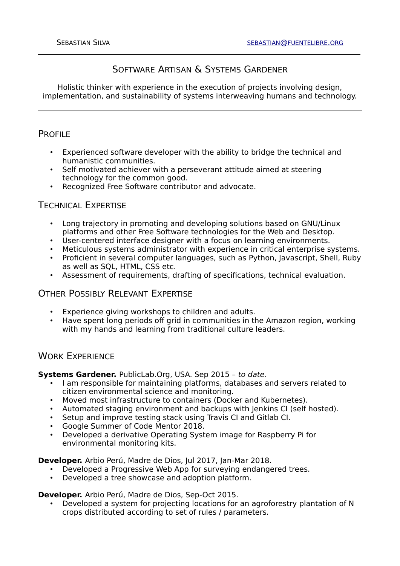# SOFTWARE ARTISAN & SYSTEMS GARDENER

Holistic thinker with experience in the execution of projects involving design, implementation, and sustainability of systems interweaving humans and technology.

### PROFILE

- Experienced software developer with the ability to bridge the technical and humanistic communities.
- Self motivated achiever with a perseverant attitude aimed at steering technology for the common good.
- Recognized Free Software contributor and advocate.

## TECHNICAL EXPERTISE

- Long trajectory in promoting and developing solutions based on GNU/Linux platforms and other Free Software technologies for the Web and Desktop.
- User-centered interface designer with a focus on learning environments.
- Meticulous systems administrator with experience in critical enterprise systems.
- Proficient in several computer languages, such as Python, Javascript, Shell, Ruby as well as SQL, HTML, CSS etc.
- Assessment of requirements, drafting of specifications, technical evaluation.

### OTHER POSSIBLY RELEVANT EXPERTISE

- Experience giving workshops to children and adults.<br>• Have spent long periods off grid in communities in the
- Have spent long periods off grid in communities in the Amazon region, working with my hands and learning from traditional culture leaders.

## WORK EXPERIENCE

**Systems Gardener.** PublicLab.Org, USA. Sep 2015 – to date.

- I am responsible for maintaining platforms, databases and servers related to citizen environmental science and monitoring.
- Moved most infrastructure to containers (Docker and Kubernetes).
- Automated staging environment and backups with Jenkins CI (self hosted).
- Setup and improve testing stack using Travis CI and Gitlab CI.
- Google Summer of Code Mentor 2018.
- Developed a derivative Operating System image for Raspberry Pi for environmental monitoring kits.

**Developer.** Arbio Perú, Madre de Dios, Jul 2017, Jan-Mar 2018.

- Developed a Progressive Web App for surveying endangered trees.
- Developed a tree showcase and adoption platform.

**Developer.** Arbio Perú, Madre de Dios, Sep-Oct 2015.

• Developed a system for projecting locations for an agroforestry plantation of N crops distributed according to set of rules / parameters.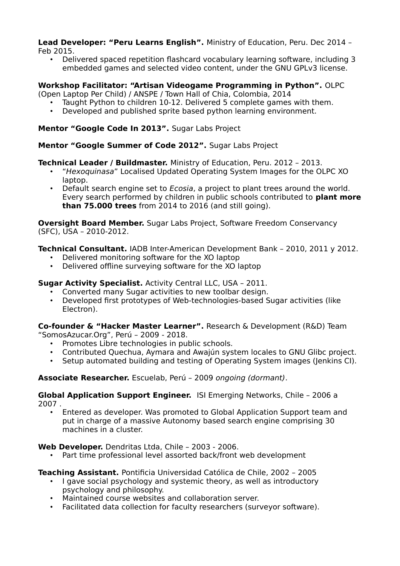**Lead Developer: "Peru Learns English".** Ministry of Education, Peru. Dec 2014 – Feb 2015.

- - Delivered spaced repetition flashcard vocabulary learning software, including 3 embedded games and selected video content, under the GNU GPLv3 license.

#### **Workshop Facilitator: "Artisan Videogame Programming in Python".** OLPC

(Open Laptop Per Child) / ANSPE / Town Hall of Chia, Colombia, 2014

- Taught Python to children 10-12. Delivered 5 complete games with them.
- Developed and published sprite based python learning environment.

### **Mentor "Google Code In 2013".** Sugar Labs Project

#### **Mentor "Google Summer of Code 2012".** Sugar Labs Project

### **Technical Leader / Buildmaster.** Ministry of Education, Peru. 2012 – 2013.

- "Hexoquinasa" Localised Updated Operating System Images for the OLPC XO laptop.
- Default search engine set to Ecosia, a project to plant trees around the world. Every search performed by children in public schools contributed to **plant more than 75.000 trees** from 2014 to 2016 (and still going).

**Oversight Board Member.** Sugar Labs Project, Software Freedom Conservancy (SFC), USA – 2010-2012.

**Technical Consultant.** IADB Inter-American Development Bank – 2010, 2011 y 2012.

- Delivered monitoring software for the XO laptop
- Delivered offline surveying software for the XO laptop

## **Sugar Activity Specialist.** Activity Central LLC, USA – 2011.

- Converted many Sugar activities to new toolbar design.
- Developed first prototypes of Web-technologies-based Sugar activities (like Electron).

**Co-founder & "Hacker Master Learner".** Research & Development (R&D) Team "SomosAzucar.Org", Perú – 2009 - 2018.

- Promotes Libre technologies in public schools.
- Contributed Quechua, Aymara and Awajún system locales to GNU Glibc project.
- Setup automated building and testing of Operating System images (Jenkins CI).

#### **Associate Researcher.** Escuelab, Perú – 2009 ongoing (dormant).

**Global Application Support Engineer.** ISI Emerging Networks, Chile – 2006 a 2007 .

• Entered as developer. Was promoted to Global Application Support team and put in charge of a massive Autonomy based search engine comprising 30 machines in a cluster.

#### **Web Developer.** Dendritas Ltda, Chile – 2003 - 2006.

• Part time professional level assorted back/front web development

#### **Teaching Assistant.** Pontificia Universidad Católica de Chile, 2002 – 2005

- I gave social psychology and systemic theory, as well as introductory psychology and philosophy.
- Maintained course websites and collaboration server.
- Facilitated data collection for faculty researchers (surveyor software).